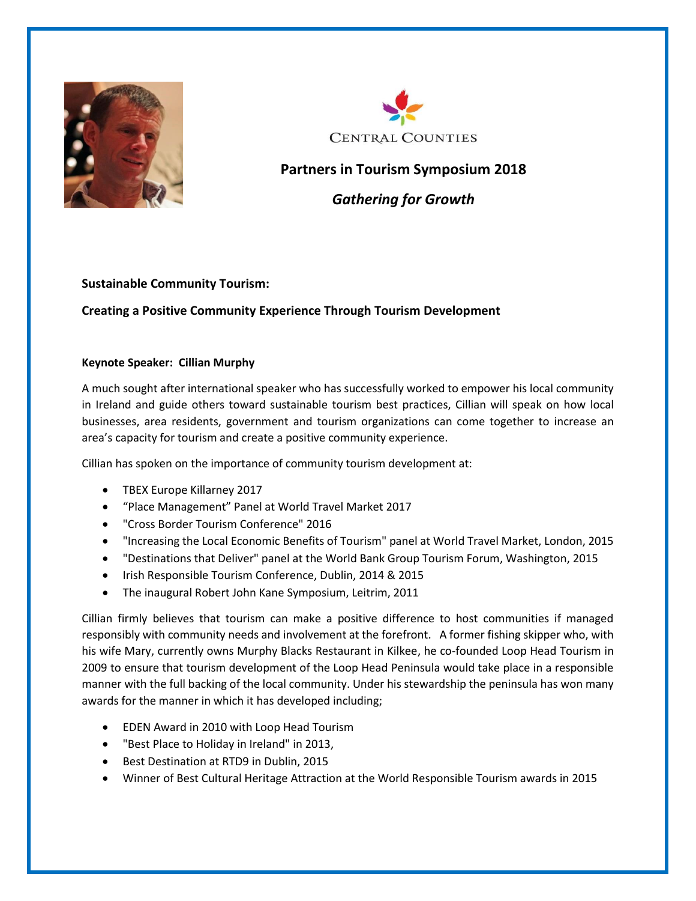



## **Partners in Tourism Symposium 2018**

*Gathering for Growth*

## **Sustainable Community Tourism:**

## **Creating a Positive Community Experience Through Tourism Development**

## **Keynote Speaker: Cillian Murphy**

A much sought after international speaker who has successfully worked to empower his local community in Ireland and guide others toward sustainable tourism best practices, Cillian will speak on how local businesses, area residents, government and tourism organizations can come together to increase an area's capacity for tourism and create a positive community experience.

Cillian has spoken on the importance of community tourism development at:

- TBEX Europe Killarney 2017
- "Place Management" Panel at World Travel Market 2017
- "Cross Border Tourism Conference" 2016
- "Increasing the Local Economic Benefits of Tourism" panel at World Travel Market, London, 2015
- "Destinations that Deliver" panel at the World Bank Group Tourism Forum, Washington, 2015
- Irish Responsible Tourism Conference, Dublin, 2014 & 2015
- The inaugural Robert John Kane Symposium, Leitrim, 2011

Cillian firmly believes that tourism can make a positive difference to host communities if managed responsibly with community needs and involvement at the forefront. A former fishing skipper who, with his wife Mary, currently owns Murphy Blacks Restaurant in Kilkee, he co-founded Loop Head Tourism in 2009 to ensure that tourism development of the Loop Head Peninsula would take place in a responsible manner with the full backing of the local community. Under his stewardship the peninsula has won many awards for the manner in which it has developed including;

- EDEN Award in 2010 with Loop Head Tourism
- "Best Place to Holiday in Ireland" in 2013,
- Best Destination at RTD9 in Dublin, 2015
- Winner of Best Cultural Heritage Attraction at the World Responsible Tourism awards in 2015